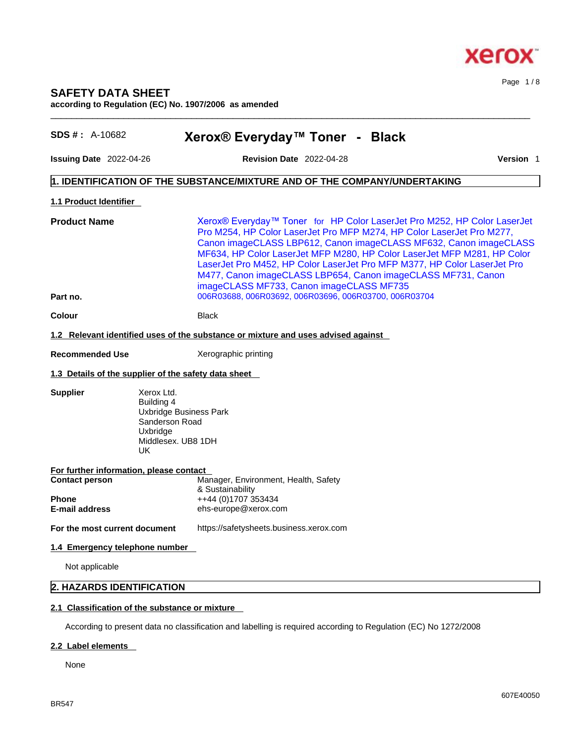

# **SAFETY DATA SHEET according to Regulation (EC) No. 1907/2006 as amended**

| $SDS #: A-10682$                                                                                                                                            | Xerox® Everyday™ Toner - Black                                                                                                                                                                                                                                                                                                                                                                                                                                                                                                                     |           |
|-------------------------------------------------------------------------------------------------------------------------------------------------------------|----------------------------------------------------------------------------------------------------------------------------------------------------------------------------------------------------------------------------------------------------------------------------------------------------------------------------------------------------------------------------------------------------------------------------------------------------------------------------------------------------------------------------------------------------|-----------|
| Issuing Date 2022-04-26                                                                                                                                     | <b>Revision Date 2022-04-28</b>                                                                                                                                                                                                                                                                                                                                                                                                                                                                                                                    | Version 1 |
|                                                                                                                                                             | 1. IDENTIFICATION OF THE SUBSTANCE/MIXTURE AND OF THE COMPANY/UNDERTAKING                                                                                                                                                                                                                                                                                                                                                                                                                                                                          |           |
| <b>1.1 Product Identifier</b>                                                                                                                               |                                                                                                                                                                                                                                                                                                                                                                                                                                                                                                                                                    |           |
| <b>Product Name</b><br>Part no.                                                                                                                             | Xerox® Everyday™ Toner for HP Color LaserJet Pro M252, HP Color LaserJet<br>Pro M254, HP Color LaserJet Pro MFP M274, HP Color LaserJet Pro M277,<br>Canon imageCLASS LBP612, Canon imageCLASS MF632, Canon imageCLASS<br>MF634, HP Color LaserJet MFP M280, HP Color LaserJet MFP M281, HP Color<br>LaserJet Pro M452, HP Color LaserJet Pro MFP M377, HP Color LaserJet Pro<br>M477, Canon imageCLASS LBP654, Canon imageCLASS MF731, Canon<br>imageCLASS MF733, Canon imageCLASS MF735<br>006R03688, 006R03692, 006R03696, 006R03700, 006R03704 |           |
| Colour                                                                                                                                                      | <b>Black</b>                                                                                                                                                                                                                                                                                                                                                                                                                                                                                                                                       |           |
|                                                                                                                                                             | 1.2 Relevant identified uses of the substance or mixture and uses advised against                                                                                                                                                                                                                                                                                                                                                                                                                                                                  |           |
|                                                                                                                                                             |                                                                                                                                                                                                                                                                                                                                                                                                                                                                                                                                                    |           |
| <b>Recommended Use</b>                                                                                                                                      | Xerographic printing                                                                                                                                                                                                                                                                                                                                                                                                                                                                                                                               |           |
|                                                                                                                                                             | 1.3 Details of the supplier of the safety data sheet                                                                                                                                                                                                                                                                                                                                                                                                                                                                                               |           |
| <b>Supplier</b>                                                                                                                                             | Xerox Ltd.<br>Building 4<br>Uxbridge Business Park<br>Sanderson Road<br>Uxbridge<br>Middlesex. UB8 1DH<br>UK.                                                                                                                                                                                                                                                                                                                                                                                                                                      |           |
|                                                                                                                                                             | For further information, please contact                                                                                                                                                                                                                                                                                                                                                                                                                                                                                                            |           |
| Manager, Environment, Health, Safety<br><b>Contact person</b><br>& Sustainability<br>++44 (0)1707 353434<br>Phone<br>ehs-europe@xerox.com<br>E-mail address |                                                                                                                                                                                                                                                                                                                                                                                                                                                                                                                                                    |           |
| For the most current document                                                                                                                               | https://safetysheets.business.xerox.com                                                                                                                                                                                                                                                                                                                                                                                                                                                                                                            |           |
| 1.4 Emergency telephone number                                                                                                                              |                                                                                                                                                                                                                                                                                                                                                                                                                                                                                                                                                    |           |
| Not applicable                                                                                                                                              |                                                                                                                                                                                                                                                                                                                                                                                                                                                                                                                                                    |           |
|                                                                                                                                                             |                                                                                                                                                                                                                                                                                                                                                                                                                                                                                                                                                    |           |
| 2. HAZARDS IDENTIFICATION                                                                                                                                   |                                                                                                                                                                                                                                                                                                                                                                                                                                                                                                                                                    |           |

 $\_$  ,  $\_$  ,  $\_$  ,  $\_$  ,  $\_$  ,  $\_$  ,  $\_$  ,  $\_$  ,  $\_$  ,  $\_$  ,  $\_$  ,  $\_$  ,  $\_$  ,  $\_$  ,  $\_$  ,  $\_$  ,  $\_$  ,  $\_$  ,  $\_$  ,  $\_$  ,  $\_$  ,  $\_$  ,  $\_$  ,  $\_$  ,  $\_$  ,  $\_$  ,  $\_$  ,  $\_$  ,  $\_$  ,  $\_$  ,  $\_$  ,  $\_$  ,  $\_$  ,  $\_$  ,  $\_$  ,  $\_$  ,  $\_$  ,

According to present data no classification and labelling is required according to Regulation (EC) No 1272/2008

# **2.2 Label elements**

None

Page 1 / 8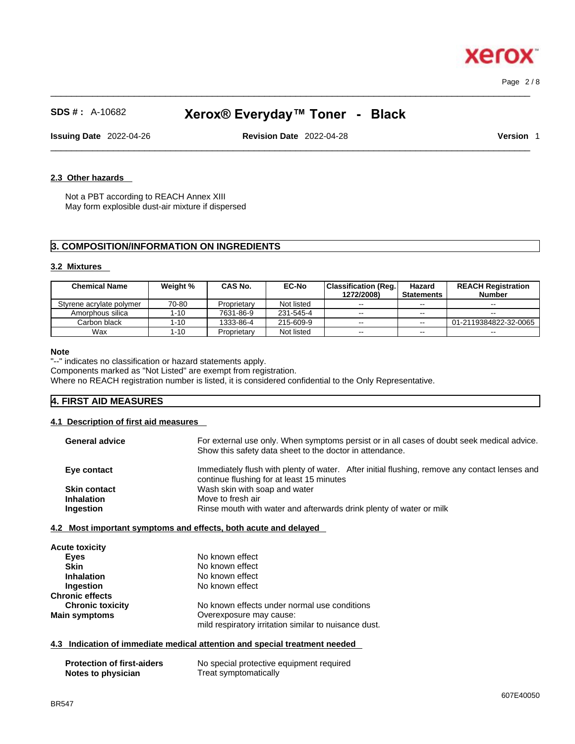Page 2 / 8

**Xero** 

# **SDS # :** A-10682 **Xerox® Everyday™ Toner - Black**

 $\_$  ,  $\_$  ,  $\_$  ,  $\_$  ,  $\_$  ,  $\_$  ,  $\_$  ,  $\_$  ,  $\_$  ,  $\_$  ,  $\_$  ,  $\_$  ,  $\_$  ,  $\_$  ,  $\_$  ,  $\_$  ,  $\_$  ,  $\_$  ,  $\_$  ,  $\_$  ,  $\_$  ,  $\_$  ,  $\_$  ,  $\_$  ,  $\_$  ,  $\_$  ,  $\_$  ,  $\_$  ,  $\_$  ,  $\_$  ,  $\_$  ,  $\_$  ,  $\_$  ,  $\_$  ,  $\_$  ,  $\_$  ,  $\_$  ,

**Issuing Date** 2022-04-26 **Revision Date** 2022-04-28 **Version** 1

 $\_$  ,  $\_$  ,  $\_$  ,  $\_$  ,  $\_$  ,  $\_$  ,  $\_$  ,  $\_$  ,  $\_$  ,  $\_$  ,  $\_$  ,  $\_$  ,  $\_$  ,  $\_$  ,  $\_$  ,  $\_$  ,  $\_$  ,  $\_$  ,  $\_$  ,  $\_$  ,  $\_$  ,  $\_$  ,  $\_$  ,  $\_$  ,  $\_$  ,  $\_$  ,  $\_$  ,  $\_$  ,  $\_$  ,  $\_$  ,  $\_$  ,  $\_$  ,  $\_$  ,  $\_$  ,  $\_$  ,  $\_$  ,  $\_$  ,

#### **2.3 Other hazards**

Not a PBT according to REACH Annex XIII May form explosible dust-air mixture if dispersed

# **3. COMPOSITION/INFORMATION ON INGREDIENTS**

#### **3.2 Mixtures**

| <b>Chemical Name</b>     | Weight % | CAS No.     | <b>EC-No</b> | <b>Classification (Reg.)</b><br>1272/2008) | Hazard<br><b>Statements</b> | <b>REACH Registration</b><br><b>Number</b> |
|--------------------------|----------|-------------|--------------|--------------------------------------------|-----------------------------|--------------------------------------------|
| Styrene acrylate polymer | 70-80    | Proprietary | Not listed   | $\sim$ $\sim$                              | $\sim$ $\sim$               | $\sim$ $\sim$                              |
| Amorphous silica         | 1-10     | 7631-86-9   | 231-545-4    | $- -$                                      | $- -$                       | $\sim$                                     |
| Carbon black             | 1-10     | 1333-86-4   | 215-609-9    | $- -$                                      | $\sim$ $\sim$               | 01-2119384822-32-0065                      |
| Wax                      | $1 - 10$ | Proprietary | Not listed   | $\sim$ $\sim$                              | $- -$                       | $- -$                                      |

#### **Note**

"--" indicates no classification or hazard statements apply.

Components marked as "Not Listed" are exempt from registration.

Where no REACH registration number is listed, it is considered confidential to the Only Representative.

# **4. FIRST AID MEASURES**

#### **4.1 Description of first aid measures**

| <b>General advice</b> | For external use only. When symptoms persist or in all cases of doubt seek medical advice.<br>Show this safety data sheet to the doctor in attendance. |
|-----------------------|--------------------------------------------------------------------------------------------------------------------------------------------------------|
| Eye contact           | Immediately flush with plenty of water. After initial flushing, remove any contact lenses and<br>continue flushing for at least 15 minutes             |
| <b>Skin contact</b>   | Wash skin with soap and water                                                                                                                          |
| <b>Inhalation</b>     | Move to fresh air                                                                                                                                      |
| <b>Ingestion</b>      | Rinse mouth with water and afterwards drink plenty of water or milk                                                                                    |

**4.2 Most important symptoms and effects, both acute and delayed**

| <b>Acute toxicity</b>   |                                                       |
|-------------------------|-------------------------------------------------------|
| Eyes                    | No known effect                                       |
| <b>Skin</b>             | No known effect                                       |
| <b>Inhalation</b>       | No known effect                                       |
| Ingestion               | No known effect                                       |
| <b>Chronic effects</b>  |                                                       |
| <b>Chronic toxicity</b> | No known effects under normal use conditions          |
| <b>Main symptoms</b>    | Overexposure may cause:                               |
|                         | mild respiratory irritation similar to nuisance dust. |
|                         |                                                       |

#### **4.3 Indication of immediate medical attention and special treatment needed**

| <b>Protection of first-aiders</b> | No special protective equipment required |
|-----------------------------------|------------------------------------------|
| Notes to physician                | Treat symptomatically                    |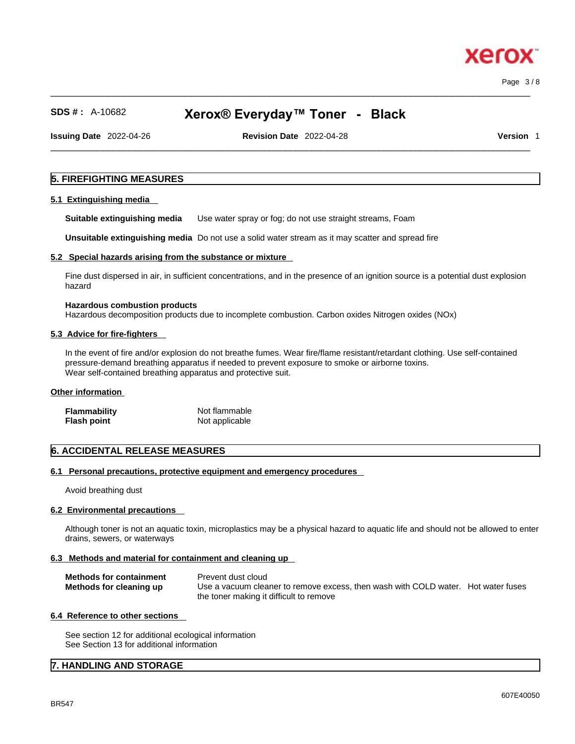$\_$  ,  $\_$  ,  $\_$  ,  $\_$  ,  $\_$  ,  $\_$  ,  $\_$  ,  $\_$  ,  $\_$  ,  $\_$  ,  $\_$  ,  $\_$  ,  $\_$  ,  $\_$  ,  $\_$  ,  $\_$  ,  $\_$  ,  $\_$  ,  $\_$  ,  $\_$  ,  $\_$  ,  $\_$  ,  $\_$  ,  $\_$  ,  $\_$  ,  $\_$  ,  $\_$  ,  $\_$  ,  $\_$  ,  $\_$  ,  $\_$  ,  $\_$  ,  $\_$  ,  $\_$  ,  $\_$  ,  $\_$  ,  $\_$  , Page 3 / 8

xerc

# **SDS # :** A-10682 **Xerox® Everyday™ Toner - Black**

**Issuing Date** 2022-04-26 **Revision Date** 2022-04-28 **Version** 1

 $\_$  ,  $\_$  ,  $\_$  ,  $\_$  ,  $\_$  ,  $\_$  ,  $\_$  ,  $\_$  ,  $\_$  ,  $\_$  ,  $\_$  ,  $\_$  ,  $\_$  ,  $\_$  ,  $\_$  ,  $\_$  ,  $\_$  ,  $\_$  ,  $\_$  ,  $\_$  ,  $\_$  ,  $\_$  ,  $\_$  ,  $\_$  ,  $\_$  ,  $\_$  ,  $\_$  ,  $\_$  ,  $\_$  ,  $\_$  ,  $\_$  ,  $\_$  ,  $\_$  ,  $\_$  ,  $\_$  ,  $\_$  ,  $\_$  ,

# **5. FIREFIGHTING MEASURES**

#### **5.1 Extinguishing media**

**Suitable extinguishing media** Use water spray or fog; do not use straight streams, Foam

**Unsuitable extinguishing media** Do not use a solid water stream as it may scatterand spread fire

#### **5.2 Special hazards arising from the substance or mixture**

Fine dust dispersed in air, in sufficient concentrations, and in the presence of an ignition source is a potential dust explosion hazard

# **Hazardous combustion products**

Hazardous decomposition products due to incomplete combustion. Carbon oxides Nitrogen oxides (NOx)

#### **5.3 Advice for fire-fighters**

In the event of fire and/or explosion do not breathe fumes. Wear fire/flame resistant/retardant clothing. Use self-contained pressure-demand breathing apparatus if needed to prevent exposure to smoke or airborne toxins. Wear self-contained breathing apparatus and protective suit.

### **Other information**

| <b>Flammability</b> | Not flammable  |
|---------------------|----------------|
| <b>Flash point</b>  | Not applicable |

# **6. ACCIDENTAL RELEASE MEASURES**

# **6.1 Personal precautions, protective equipment and emergency procedures**

Avoid breathing dust

#### **6.2 Environmental precautions**

Although toner is not an aquatic toxin, microplastics may be a physical hazard to aquatic life and should not be allowed to enter drains, sewers, or waterways

#### **6.3 Methods and material for containment and cleaning up**

| <b>Methods for containment</b> | Prevent dust cloud                                                                |  |
|--------------------------------|-----------------------------------------------------------------------------------|--|
| Methods for cleaning up        | Use a vacuum cleaner to remove excess, then wash with COLD water. Hot water fuses |  |
|                                | the toner making it difficult to remove                                           |  |

#### **6.4 Reference to other sections**

See section 12 for additional ecological information See Section 13 for additional information

# **7. HANDLING AND STORAGE**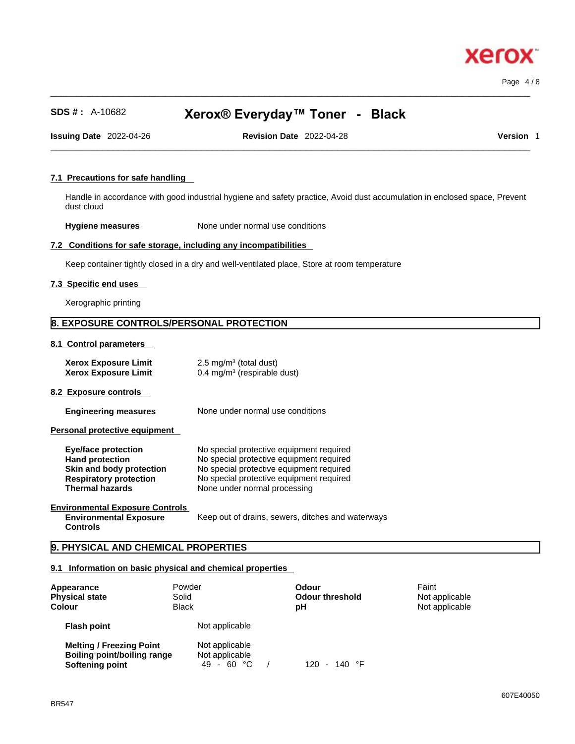Page 4 / 8

xero

# **SDS # :** A-10682 **Xerox® Everyday™ Toner - Black**

 $\_$  ,  $\_$  ,  $\_$  ,  $\_$  ,  $\_$  ,  $\_$  ,  $\_$  ,  $\_$  ,  $\_$  ,  $\_$  ,  $\_$  ,  $\_$  ,  $\_$  ,  $\_$  ,  $\_$  ,  $\_$  ,  $\_$  ,  $\_$  ,  $\_$  ,  $\_$  ,  $\_$  ,  $\_$  ,  $\_$  ,  $\_$  ,  $\_$  ,  $\_$  ,  $\_$  ,  $\_$  ,  $\_$  ,  $\_$  ,  $\_$  ,  $\_$  ,  $\_$  ,  $\_$  ,  $\_$  ,  $\_$  ,  $\_$  ,

**Issuing Date** 2022-04-26 **Revision Date** 2022-04-28 **Version** 1

 $\_$  ,  $\_$  ,  $\_$  ,  $\_$  ,  $\_$  ,  $\_$  ,  $\_$  ,  $\_$  ,  $\_$  ,  $\_$  ,  $\_$  ,  $\_$  ,  $\_$  ,  $\_$  ,  $\_$  ,  $\_$  ,  $\_$  ,  $\_$  ,  $\_$  ,  $\_$  ,  $\_$  ,  $\_$  ,  $\_$  ,  $\_$  ,  $\_$  ,  $\_$  ,  $\_$  ,  $\_$  ,  $\_$  ,  $\_$  ,  $\_$  ,  $\_$  ,  $\_$  ,  $\_$  ,  $\_$  ,  $\_$  ,  $\_$  ,

### **7.1 Precautions for safe handling**

Handle in accordance with good industrial hygiene and safety practice, Avoid dust accumulation in enclosed space, Prevent dust cloud

**Hygiene measures** None under normal use conditions

# **7.2 Conditions for safe storage, including any incompatibilities**

Keep container tightly closed in a dry and well-ventilated place, Store at room temperature

#### **7.3 Specific end uses**

Xerographic printing

# **8. EXPOSURE CONTROLS/PERSONAL PROTECTION**

**8.1 Control parameters** 

| <b>Xerox Exposure Limit</b> | $2.5 \text{ mg/m}^3$ (total dust)       |
|-----------------------------|-----------------------------------------|
| <b>Xerox Exposure Limit</b> | 0.4 mg/m <sup>3</sup> (respirable dust) |

**8.2 Exposure controls** 

**Engineering measures** None under normal use conditions

**Personal protective equipment** 

| Eye/face protection           | No special protective equipment required |
|-------------------------------|------------------------------------------|
| <b>Hand protection</b>        | No special protective equipment required |
| Skin and body protection      | No special protective equipment required |
| <b>Respiratory protection</b> | No special protective equipment required |
| <b>Thermal hazards</b>        | None under normal processing             |

#### **Environmental Exposure Controls Environmental Exposure**

**Controls** 

Keep out of drains, sewers, ditches and waterways

# **9. PHYSICAL AND CHEMICAL PROPERTIES**

# **9.1 Information on basic physical and chemical properties**

| Appearance<br><b>Physical state</b><br><b>Colour</b>                                     | Powder<br>Solid<br><b>Black</b>                | Odour<br><b>Odour threshold</b><br>рH | Faint<br>Not applicable<br>Not applicable |
|------------------------------------------------------------------------------------------|------------------------------------------------|---------------------------------------|-------------------------------------------|
| <b>Flash point</b>                                                                       | Not applicable                                 |                                       |                                           |
| <b>Melting / Freezing Point</b><br><b>Boiling point/boiling range</b><br>Softening point | Not applicable<br>Not applicable<br>49 - 60 °C | - 140 °F<br>120.                      |                                           |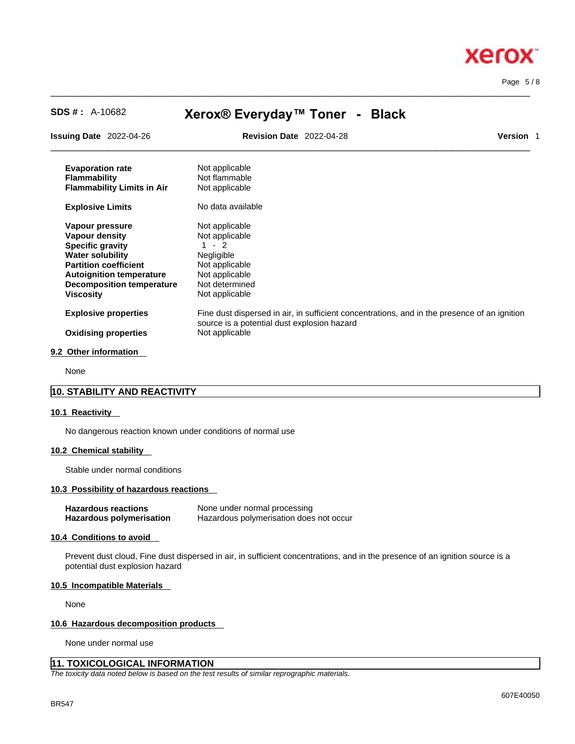

Page 5 / 8

# **SDS # :** A-10682 **Xerox® Everyday™ Toner - Black**

 $\_$  ,  $\_$  ,  $\_$  ,  $\_$  ,  $\_$  ,  $\_$  ,  $\_$  ,  $\_$  ,  $\_$  ,  $\_$  ,  $\_$  ,  $\_$  ,  $\_$  ,  $\_$  ,  $\_$  ,  $\_$  ,  $\_$  ,  $\_$  ,  $\_$  ,  $\_$  ,  $\_$  ,  $\_$  ,  $\_$  ,  $\_$  ,  $\_$  ,  $\_$  ,  $\_$  ,  $\_$  ,  $\_$  ,  $\_$  ,  $\_$  ,  $\_$  ,  $\_$  ,  $\_$  ,  $\_$  ,  $\_$  ,  $\_$  ,

| <b>Issuing Date</b> 2022-04-26                                                                                                                                                                                     | <b>Revision Date 2022-04-28</b>                                                                                                   | <b>Version 1</b>                                                                             |  |
|--------------------------------------------------------------------------------------------------------------------------------------------------------------------------------------------------------------------|-----------------------------------------------------------------------------------------------------------------------------------|----------------------------------------------------------------------------------------------|--|
| <b>Evaporation rate</b><br><b>Flammability</b><br><b>Flammability Limits in Air</b>                                                                                                                                | Not applicable<br>Not flammable<br>Not applicable                                                                                 |                                                                                              |  |
| <b>Explosive Limits</b>                                                                                                                                                                                            | No data available                                                                                                                 |                                                                                              |  |
| Vapour pressure<br>Vapour density<br><b>Specific gravity</b><br><b>Water solubility</b><br><b>Partition coefficient</b><br><b>Autoignition temperature</b><br><b>Decomposition temperature</b><br><b>Viscosity</b> | Not applicable<br>Not applicable<br>$1 - 2$<br>Negligible<br>Not applicable<br>Not applicable<br>Not determined<br>Not applicable |                                                                                              |  |
| <b>Explosive properties</b><br><b>Oxidising properties</b>                                                                                                                                                         | source is a potential dust explosion hazard<br>Not applicable                                                                     | Fine dust dispersed in air, in sufficient concentrations, and in the presence of an ignition |  |
| 9.2 Other information                                                                                                                                                                                              |                                                                                                                                   |                                                                                              |  |

None

# **10. STABILITY AND REACTIVITY**

#### **10.1 Reactivity**

No dangerous reaction known under conditions of normal use

#### **10.2 Chemical stability**

Stable under normal conditions

#### **10.3 Possibility of hazardous reactions**

| <b>Hazardous reactions</b> | None under normal processing            |
|----------------------------|-----------------------------------------|
| Hazardous polymerisation   | Hazardous polymerisation does not occur |

# **10.4 Conditions to avoid**

Prevent dust cloud, Fine dust dispersed in air, in sufficient concentrations, and in the presence of an ignition source is a potential dust explosion hazard

#### **10.5 Incompatible Materials**

None

#### **10.6 Hazardous decomposition products**

None under normal use

# **11. TOXICOLOGICAL INFORMATION**

*The toxicity data noted below is based on the test results of similar reprographic materials.*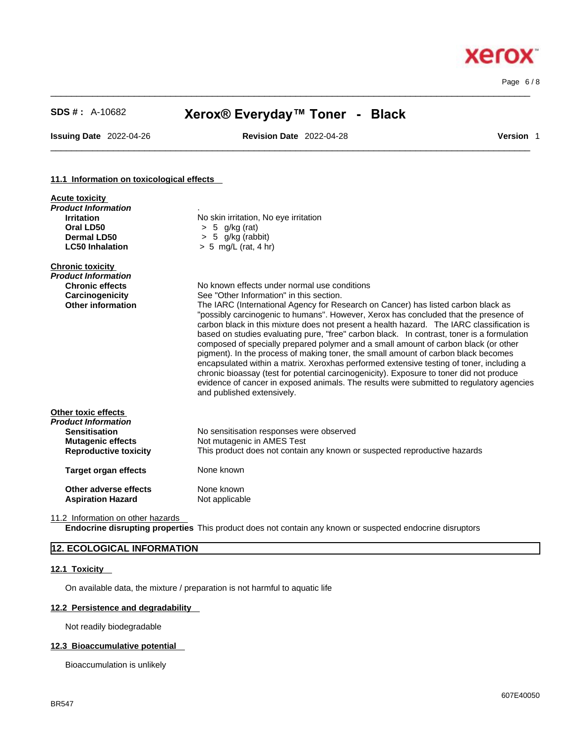Page 6 / 8

**Xerox** 

# **SDS # :** A-10682 **Xerox® Everyday™ Toner - Black**

 $\_$  ,  $\_$  ,  $\_$  ,  $\_$  ,  $\_$  ,  $\_$  ,  $\_$  ,  $\_$  ,  $\_$  ,  $\_$  ,  $\_$  ,  $\_$  ,  $\_$  ,  $\_$  ,  $\_$  ,  $\_$  ,  $\_$  ,  $\_$  ,  $\_$  ,  $\_$  ,  $\_$  ,  $\_$  ,  $\_$  ,  $\_$  ,  $\_$  ,  $\_$  ,  $\_$  ,  $\_$  ,  $\_$  ,  $\_$  ,  $\_$  ,  $\_$  ,  $\_$  ,  $\_$  ,  $\_$  ,  $\_$  ,  $\_$  ,

**Issuing Date** 2022-04-26 **Revision Date** 2022-04-28 **Version** 1

 $\_$  ,  $\_$  ,  $\_$  ,  $\_$  ,  $\_$  ,  $\_$  ,  $\_$  ,  $\_$  ,  $\_$  ,  $\_$  ,  $\_$  ,  $\_$  ,  $\_$  ,  $\_$  ,  $\_$  ,  $\_$  ,  $\_$  ,  $\_$  ,  $\_$  ,  $\_$  ,  $\_$  ,  $\_$  ,  $\_$  ,  $\_$  ,  $\_$  ,  $\_$  ,  $\_$  ,  $\_$  ,  $\_$  ,  $\_$  ,  $\_$  ,  $\_$  ,  $\_$  ,  $\_$  ,  $\_$  ,  $\_$  ,  $\_$  ,

#### **11.1 Information on toxicological effects**

| <b>Acute toxicity</b><br>Product Information |                                                                                                                                                                                                                                                                                                                                                                                                                                                                                                                                                                                                                                                                                                                                                                                                                                                                     |
|----------------------------------------------|---------------------------------------------------------------------------------------------------------------------------------------------------------------------------------------------------------------------------------------------------------------------------------------------------------------------------------------------------------------------------------------------------------------------------------------------------------------------------------------------------------------------------------------------------------------------------------------------------------------------------------------------------------------------------------------------------------------------------------------------------------------------------------------------------------------------------------------------------------------------|
| <b>Irritation</b>                            | No skin irritation, No eye irritation                                                                                                                                                                                                                                                                                                                                                                                                                                                                                                                                                                                                                                                                                                                                                                                                                               |
| Oral LD50                                    | > 5<br>g/kg (rat)                                                                                                                                                                                                                                                                                                                                                                                                                                                                                                                                                                                                                                                                                                                                                                                                                                                   |
| Dermal LD50                                  | $> 5$ g/kg (rabbit)                                                                                                                                                                                                                                                                                                                                                                                                                                                                                                                                                                                                                                                                                                                                                                                                                                                 |
| <b>LC50 Inhalation</b>                       | $> 5$ mg/L (rat, 4 hr)                                                                                                                                                                                                                                                                                                                                                                                                                                                                                                                                                                                                                                                                                                                                                                                                                                              |
| <b>Chronic toxicity</b>                      |                                                                                                                                                                                                                                                                                                                                                                                                                                                                                                                                                                                                                                                                                                                                                                                                                                                                     |
| Product Information                          |                                                                                                                                                                                                                                                                                                                                                                                                                                                                                                                                                                                                                                                                                                                                                                                                                                                                     |
| <b>Chronic effects</b>                       | No known effects under normal use conditions                                                                                                                                                                                                                                                                                                                                                                                                                                                                                                                                                                                                                                                                                                                                                                                                                        |
| Carcinogenicity                              | See "Other Information" in this section.                                                                                                                                                                                                                                                                                                                                                                                                                                                                                                                                                                                                                                                                                                                                                                                                                            |
| <b>Other information</b>                     | The IARC (International Agency for Research on Cancer) has listed carbon black as<br>"possibly carcinogenic to humans". However, Xerox has concluded that the presence of<br>carbon black in this mixture does not present a health hazard. The IARC classification is<br>based on studies evaluating pure, "free" carbon black. In contrast, toner is a formulation<br>composed of specially prepared polymer and a small amount of carbon black (or other<br>pigment). In the process of making toner, the small amount of carbon black becomes<br>encapsulated within a matrix. Xeroxhas performed extensive testing of toner, including a<br>chronic bioassay (test for potential carcinogenicity). Exposure to toner did not produce<br>evidence of cancer in exposed animals. The results were submitted to regulatory agencies<br>and published extensively. |
| Other toxic effects                          |                                                                                                                                                                                                                                                                                                                                                                                                                                                                                                                                                                                                                                                                                                                                                                                                                                                                     |
| Product Information                          |                                                                                                                                                                                                                                                                                                                                                                                                                                                                                                                                                                                                                                                                                                                                                                                                                                                                     |
| <b>Sensitisation</b>                         | No sensitisation responses were observed                                                                                                                                                                                                                                                                                                                                                                                                                                                                                                                                                                                                                                                                                                                                                                                                                            |
| <b>Mutagenic effects</b>                     | Not mutagenic in AMES Test                                                                                                                                                                                                                                                                                                                                                                                                                                                                                                                                                                                                                                                                                                                                                                                                                                          |
| <b>Reproductive toxicity</b>                 | This product does not contain any known or suspected reproductive hazards                                                                                                                                                                                                                                                                                                                                                                                                                                                                                                                                                                                                                                                                                                                                                                                           |
| <b>Target organ effects</b>                  | None known                                                                                                                                                                                                                                                                                                                                                                                                                                                                                                                                                                                                                                                                                                                                                                                                                                                          |
| Other adverse effects                        | None known                                                                                                                                                                                                                                                                                                                                                                                                                                                                                                                                                                                                                                                                                                                                                                                                                                                          |
| <b>Aspiration Hazard</b>                     | Not applicable                                                                                                                                                                                                                                                                                                                                                                                                                                                                                                                                                                                                                                                                                                                                                                                                                                                      |
|                                              |                                                                                                                                                                                                                                                                                                                                                                                                                                                                                                                                                                                                                                                                                                                                                                                                                                                                     |

11.2 Information on other hazards

**Endocrine disrupting properties** This product does not contain any known or suspected endocrine disruptors

# **12. ECOLOGICAL INFORMATION**

### **12.1 Toxicity**

On available data, the mixture / preparation is not harmful to aquatic life

#### **12.2 Persistence and degradability**

Not readily biodegradable

# **12.3 Bioaccumulative potential**

Bioaccumulation is unlikely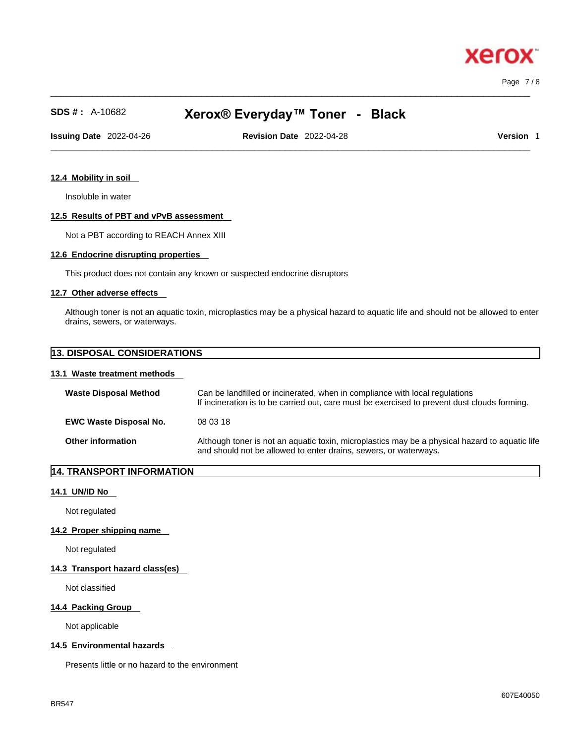$\_$  ,  $\_$  ,  $\_$  ,  $\_$  ,  $\_$  ,  $\_$  ,  $\_$  ,  $\_$  ,  $\_$  ,  $\_$  ,  $\_$  ,  $\_$  ,  $\_$  ,  $\_$  ,  $\_$  ,  $\_$  ,  $\_$  ,  $\_$  ,  $\_$  ,  $\_$  ,  $\_$  ,  $\_$  ,  $\_$  ,  $\_$  ,  $\_$  ,  $\_$  ,  $\_$  ,  $\_$  ,  $\_$  ,  $\_$  ,  $\_$  ,  $\_$  ,  $\_$  ,  $\_$  ,  $\_$  ,  $\_$  ,  $\_$  , Page 7 / 8

хего

# **SDS # :** A-10682 **Xerox® Everyday™ Toner - Black**

**Issuing Date** 2022-04-26 **Revision Date** 2022-04-28 **Version** 1

 $\_$  ,  $\_$  ,  $\_$  ,  $\_$  ,  $\_$  ,  $\_$  ,  $\_$  ,  $\_$  ,  $\_$  ,  $\_$  ,  $\_$  ,  $\_$  ,  $\_$  ,  $\_$  ,  $\_$  ,  $\_$  ,  $\_$  ,  $\_$  ,  $\_$  ,  $\_$  ,  $\_$  ,  $\_$  ,  $\_$  ,  $\_$  ,  $\_$  ,  $\_$  ,  $\_$  ,  $\_$  ,  $\_$  ,  $\_$  ,  $\_$  ,  $\_$  ,  $\_$  ,  $\_$  ,  $\_$  ,  $\_$  ,  $\_$  ,

# **12.4 Mobility in soil**

Insoluble in water

### **12.5 Results of PBT and vPvB assessment**

Not a PBT according to REACH Annex XIII

#### **12.6 Endocrine disrupting properties**

This product does not contain any known or suspected endocrine disruptors

#### **12.7 Other adverse effects**

Although toner is not an aquatic toxin, microplastics may be a physical hazard to aquatic life and should not be allowed to enter drains, sewers, or waterways.

# **13. DISPOSAL CONSIDERATIONS**

#### **13.1 Waste treatment methods**

| <b>Waste Disposal Method</b>  | Can be landfilled or incinerated, when in compliance with local regulations<br>If incineration is to be carried out, care must be exercised to prevent dust clouds forming. |
|-------------------------------|-----------------------------------------------------------------------------------------------------------------------------------------------------------------------------|
| <b>EWC Waste Disposal No.</b> | 08 03 18                                                                                                                                                                    |
| <b>Other information</b>      | Although toner is not an aquatic toxin, microplastics may be a physical hazard to aquatic life<br>and should not be allowed to enter drains, sewers, or waterways.          |

# **14. TRANSPORT INFORMATION**

# **14.1 UN/ID No**

Not regulated

#### **14.2 Proper shipping name**

Not regulated

# **14.3 Transport hazard class(es)**

Not classified

#### **14.4 Packing Group**

Not applicable

# **14.5 Environmental hazards**

Presents little or no hazard to the environment